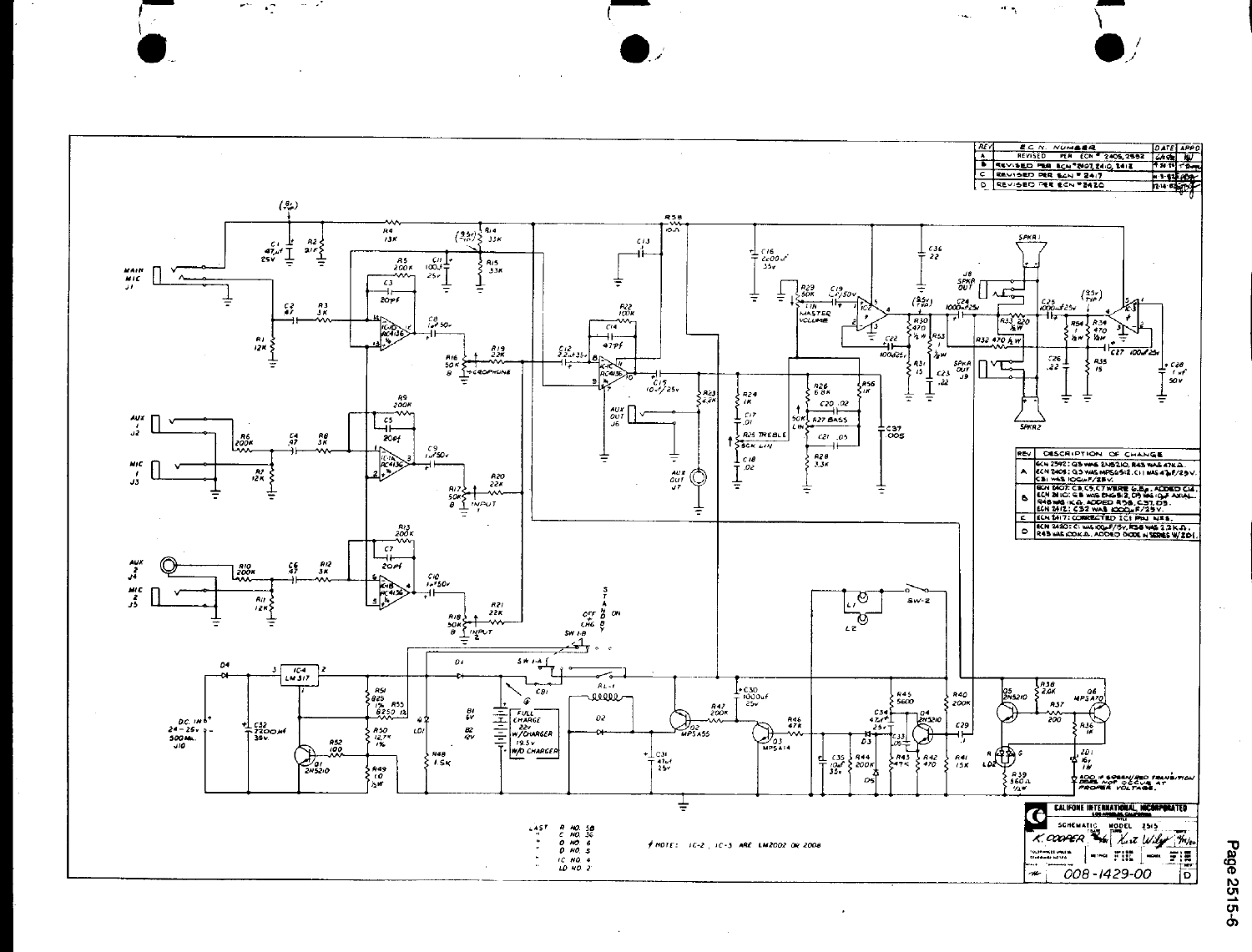